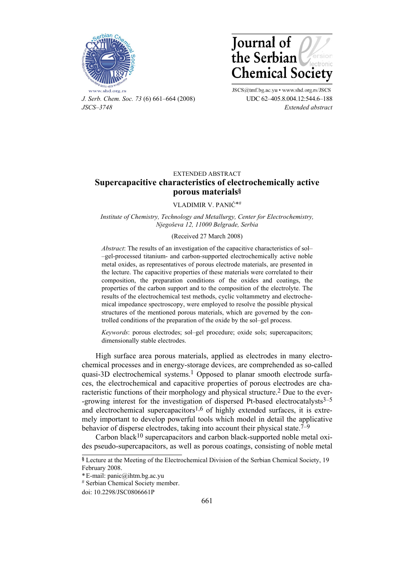



*J. Serb. Chem. Soc. 73* (6) 661–664 (2008) UDC 62–405.8.004.12:544.6–188 *JSCS–3748 Extended abstract* 

JSCS@tmf.bg.ac.yu . www.shd.org.rs/JSCS

# EXTENDED ABSTRACT **Supercapacitive characteristics of electrochemically active porous materials§**

VLADIMIR V. PANIĆ\*#

*Institute of Chemistry, Technology and Metallurgy, Center for Electrochemistry, Njegoševa 12, 11000 Belgrade, Serbia* 

### (Received 27 March 2008)

*Abstract*: The results of an investigation of the capacitive characteristics of sol– –gel-processed titanium- and carbon-supported electrochemically active noble metal oxides, as representatives of porous electrode materials, are presented in the lecture. The capacitive properties of these materials were correlated to their composition, the preparation conditions of the oxides and coatings, the properties of the carbon support and to the composition of the electrolyte. The results of the electrochemical test methods, cyclic voltammetry and electrochemical impedance spectroscopy, were employed to resolve the possible physical structures of the mentioned porous materials, which are governed by the controlled conditions of the preparation of the oxide by the sol–gel process.

*Keywords*: porous electrodes; sol–gel procedure; oxide sols; supercapacitors; dimensionally stable electrodes.

High surface area porous materials, applied as electrodes in many electrochemical processes and in energy-storage devices, are comprehended as so-called quasi-3D electrochemical systems.<sup>1</sup> Opposed to planar smooth electrode surfaces, the electrochemical and capacitive properties of porous electrodes are characteristic functions of their morphology and physical structure.2 Due to the ever- -growing interest for the investigation of dispersed Pt-based electrocatalysts $3-5$ and electrochemical supercapacitors<sup>1,6</sup> of highly extended surfaces, it is extremely important to develop powerful tools which model in detail the applicative behavior of disperse electrodes, taking into account their physical state.<sup>7–9</sup>

Carbon black<sup>10</sup> supercapacitors and carbon black-supported noble metal oxides pseudo-supercapacitors, as well as porous coatings, consisting of noble metal

**<sup>§</sup>** Lecture at the Meeting of the Electrochemical Division of the Serbian Chemical Society, 19 February 2008.

<sup>\*</sup> E-mail: panic@ihtm.bg.ac.yu

<sup>#</sup> Serbian Chemical Society member.

doi: 10.2298/JSC0806661P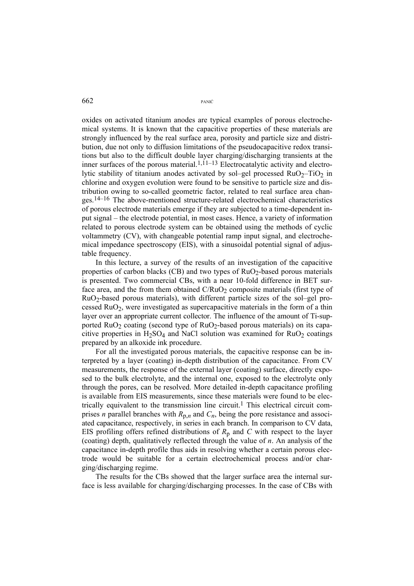662 PANI<sup>Ć</sup>

oxides on activated titanium anodes are typical examples of porous electrochemical systems. It is known that the capacitive properties of these materials are strongly influenced by the real surface area, porosity and particle size and distribution, due not only to diffusion limitations of the pseudocapacitive redox transitions but also to the difficult double layer charging/discharging transients at the inner surfaces of the porous material.<sup>1,11–13</sup> Electrocatalytic activity and electrolytic stability of titanium anodes activated by sol–gel processed  $RuO<sub>2</sub>–TiO<sub>2</sub>$  in chlorine and oxygen evolution were found to be sensitive to particle size and distribution owing to so-called geometric factor, related to real surface area changes.14–16 The above-mentioned structure-related electrochemical characteristics of porous electrode materials emerge if they are subjected to a time-dependent input signal – the electrode potential, in most cases. Hence, a variety of information related to porous electrode system can be obtained using the methods of cyclic voltammetry (CV), with changeable potential ramp input signal, and electrochemical impedance spectroscopy (EIS), with a sinusoidal potential signal of adjustable frequency.

In this lecture, a survey of the results of an investigation of the capacitive properties of carbon blacks (CB) and two types of  $RuO<sub>2</sub>$ -based porous materials is presented. Two commercial CBs, with a near 10-fold difference in BET surface area, and the from them obtained  $C/RuO<sub>2</sub>$  composite materials (first type of RuO2-based porous materials), with different particle sizes of the sol–gel processed RuO2, were investigated as supercapacitive materials in the form of a thin layer over an appropriate current collector. The influence of the amount of Ti-supported  $RuO<sub>2</sub>$  coating (second type of  $RuO<sub>2</sub>$ -based porous materials) on its capacitive properties in H<sub>2</sub>SO<sub>4</sub> and NaCl solution was examined for RuO<sub>2</sub> coatings prepared by an alkoxide ink procedure.

For all the investigated porous materials, the capacitive response can be interpreted by a layer (coating) in-depth distribution of the capacitance. From CV measurements, the response of the external layer (coating) surface, directly exposed to the bulk electrolyte, and the internal one, exposed to the electrolyte only through the pores, can be resolved. More detailed in-depth capacitance profiling is available from EIS measurements, since these materials were found to be electrically equivalent to the transmission line circuit.<sup>1</sup> This electrical circuit comprises *n* parallel branches with  $R_{p,n}$  and  $C_n$ , being the pore resistance and associated capacitance, respectively, in series in each branch. In comparison to CV data, EIS profiling offers refined distributions of  $R_p$  and  $C$  with respect to the layer (coating) depth, qualitatively reflected through the value of *n*. An analysis of the capacitance in-depth profile thus aids in resolving whether a certain porous electrode would be suitable for a certain electrochemical process and/or charging/discharging regime.

The results for the CBs showed that the larger surface area the internal surface is less available for charging/discharging processes. In the case of CBs with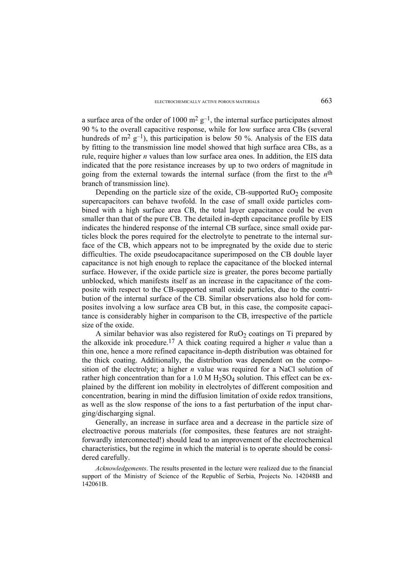a surface area of the order of 1000  $m^2 g^{-1}$ , the internal surface participates almost 90 % to the overall capacitive response, while for low surface area CBs (several hundreds of  $m^2$  g<sup>-1</sup>), this participation is below 50 %. Analysis of the EIS data by fitting to the transmission line model showed that high surface area CBs, as a rule, require higher *n* values than low surface area ones. In addition, the EIS data indicated that the pore resistance increases by up to two orders of magnitude in going from the external towards the internal surface (from the first to the  $n<sup>th</sup>$ branch of transmission line).

Depending on the particle size of the oxide, CB-supported  $RuO<sub>2</sub>$  composite supercapacitors can behave twofold. In the case of small oxide particles combined with a high surface area CB, the total layer capacitance could be even smaller than that of the pure CB. The detailed in-depth capacitance profile by EIS indicates the hindered response of the internal CB surface, since small oxide particles block the pores required for the electrolyte to penetrate to the internal surface of the CB, which appears not to be impregnated by the oxide due to steric difficulties. The oxide pseudocapacitance superimposed on the CB double layer capacitance is not high enough to replace the capacitance of the blocked internal surface. However, if the oxide particle size is greater, the pores become partially unblocked, which manifests itself as an increase in the capacitance of the composite with respect to the CB-supported small oxide particles, due to the contribution of the internal surface of the CB. Similar observations also hold for composites involving a low surface area CB but, in this case, the composite capacitance is considerably higher in comparison to the CB, irrespective of the particle size of the oxide.

A similar behavior was also registered for  $RuO<sub>2</sub>$  coatings on Ti prepared by the alkoxide ink procedure.<sup>17</sup> A thick coating required a higher  $n$  value than a thin one, hence a more refined capacitance in-depth distribution was obtained for the thick coating. Additionally, the distribution was dependent on the composition of the electrolyte; a higher *n* value was required for a NaCl solution of rather high concentration than for a  $1.0 M H_2SO_4$  solution. This effect can be explained by the different ion mobility in electrolytes of different composition and concentration, bearing in mind the diffusion limitation of oxide redox transitions, as well as the slow response of the ions to a fast perturbation of the input charging/discharging signal.

Generally, an increase in surface area and a decrease in the particle size of electroactive porous materials (for composites, these features are not straightforwardly interconnected!) should lead to an improvement of the electrochemical characteristics, but the regime in which the material is to operate should be considered carefully.

*Acknowledgements*. The results presented in the lecture were realized due to the financial support of the Ministry of Science of the Republic of Serbia, Projects No. 142048B and 142061B.